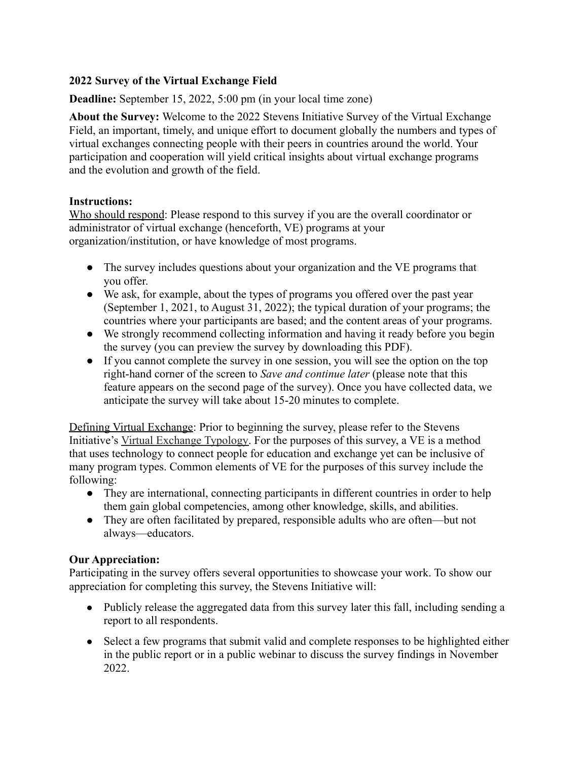### **2022 Survey of the Virtual Exchange Field**

**Deadline:** September 15, 2022, 5:00 pm (in your local time zone)

**About the Survey:** Welcome to the 2022 Stevens Initiative Survey of the Virtual Exchange Field, an important, timely, and unique effort to document globally the numbers and types of virtual exchanges connecting people with their peers in countries around the world. Your participation and cooperation will yield critical insights about virtual exchange programs and the evolution and growth of the field.

#### **Instructions:**

Who should respond: Please respond to this survey if you are the overall coordinator or administrator of virtual exchange (henceforth, VE) programs at your organization/institution, or have knowledge of most programs.

- The survey includes questions about your organization and the VE programs that you offer.
- We ask, for example, about the types of programs you offered over the past year (September 1, 2021, to August 31, 2022); the typical duration of your programs; the countries where your participants are based; and the content areas of your programs.
- We strongly recommend collecting information and having it ready before you begin the survey (you can preview the survey by downloading this PDF).
- If you cannot complete the survey in one session, you will see the option on the top right-hand corner of the screen to *Save and continue later* (please note that this feature appears on the second page of the survey). Once you have collected data, we anticipate the survey will take about 15-20 minutes to complete.

Defining Virtual Exchange: Prior to beginning the survey, please refer to the [Stevens](https://www.stevensinitiative.org/resource/virtual-exchange-typology/) Initiative's [Virtual Exchange](https://www.stevensinitiative.org/resource/virtual-exchange-typology/) [Typology.](https://www.stevensinitiative.org/resource/virtual-exchange-typology/) For the purposes of this survey, a VE is a method that uses technology to connect people for education and exchange yet can be inclusive of many program types. Common elements of VE for the purposes of this survey include the following:

- They are international, connecting participants in different countries in order to help them gain global competencies, among other knowledge, skills, and abilities.
- They are often facilitated by prepared, responsible adults who are often—but not always—educators.

#### **Our Appreciation:**

Participating in the survey offers several opportunities to showcase your work. To show our appreciation for completing this survey, the Stevens Initiative will:

- Publicly release the aggregated data from this survey later this fall, including sending a report to all respondents.
- Select a few programs that submit valid and complete responses to be highlighted either in the public report or in a public webinar to discuss the survey findings in November 2022.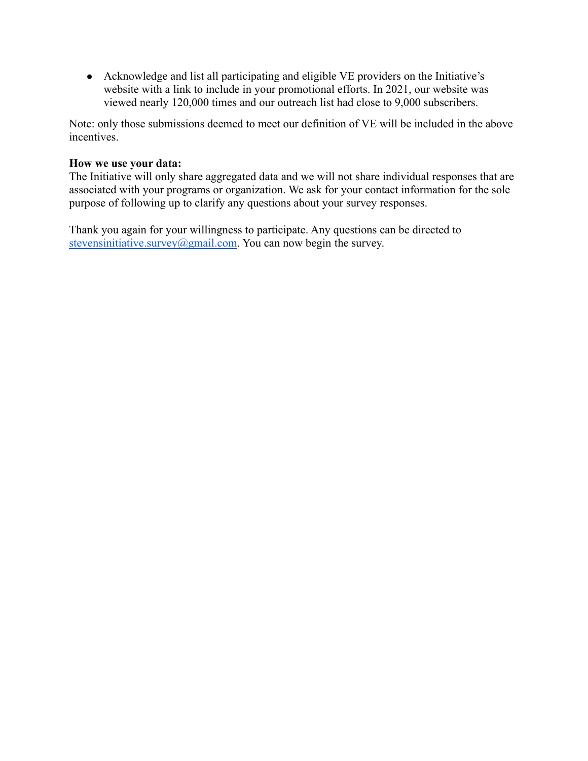● Acknowledge and list all participating and eligible VE providers on the Initiative's website with a link to include in your promotional efforts. In 2021, our website was viewed nearly 120,000 times and our outreach list had close to 9,000 subscribers.

Note: only those submissions deemed to meet our definition of VE will be included in the above incentives.

#### **How we use your data:**

The Initiative will only share aggregated data and we will not share individual responses that are associated with your programs or organization. We ask for your contact information for the sole purpose of following up to clarify any questions about your survey responses.

Thank you again for your willingness to participate. Any questions can be directed to [stevensinitiative.survey@gmail.com](mailto:stevensinitiative.survey@gmail.com). You can now begin the survey.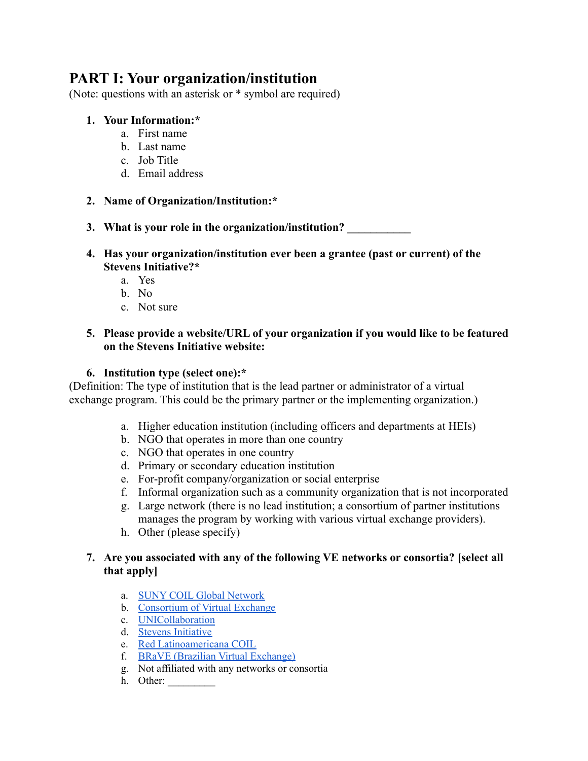# **PART I: Your organization/institution**

(Note: questions with an asterisk or \* symbol are required)

#### **1. Your Information:\***

- a. First name
- b. Last name
- c. Job Title
- d. Email address
- **2. Name of Organization/Institution:\***

**3. What is your role in the organization/institution? \_\_\_\_\_\_\_\_\_\_\_**

- **4. Has your organization/institution ever been a grantee (past or current) of the Stevens Initiative?\***
	- a. Yes
	- b. No
	- c. Not sure

#### **5. Please provide a website/URL of your organization if you would like to be featured on the Stevens Initiative website:**

#### **6. Institution type (select one):\***

(Definition: The type of institution that is the lead partner or administrator of a virtual exchange program. This could be the primary partner or the implementing organization.)

- a. Higher education institution (including officers and departments at HEIs)
- b. NGO that operates in more than one country
- c. NGO that operates in one country
- d. Primary or secondary education institution
- e. For-profit company/organization or social enterprise
- f. Informal organization such as a community organization that is not incorporated
- g. Large network (there is no lead institution; a consortium of partner institutions manages the program by working with various virtual exchange providers).
- h. Other (please specify)

#### **7. Are you associated with any of the following VE networks or consortia? [select all that apply]**

- a. SUNY COIL Global [Network](https://coil.suny.edu/global-network/)
- b. [Consortium](https://www.cove.education/) of Virtual Exchange
- c. [UNICollaboration](https://www.unicollaboration.org/)
- d. Stevens [Initiative](https://www.stevensinitiative.org/projects/)
- e. Red [Latinoamericana](https://www.uv.mx/coil/) COIL
- f. BRaVE (Brazilian Virtual [Exchange\)](https://faubai.org.br/pt-br/webinarios-faubai-brave-sobre-intercambios-virtuais/)
- g. Not affiliated with any networks or consortia
- h. Other: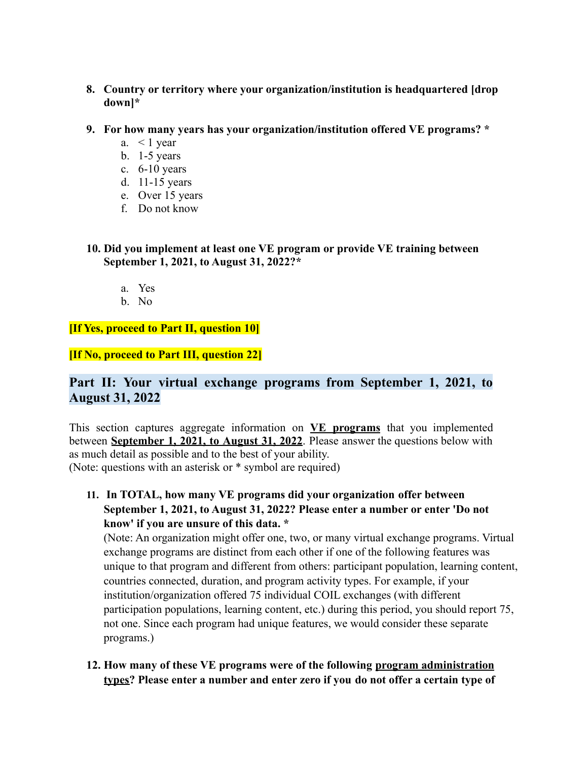- **8. Country or territory where your organization/institution is headquartered [drop down]\***
- **9. For how many years has your organization/institution offered VE programs? \***
	- a.  $\lt$  1 year
	- b. 1-5 years
	- c. 6-10 years
	- d. 11-15 years
	- e. Over 15 years
	- f. Do not know

**10. Did you implement at least one VE program or provide VE training between September 1, 2021, to August 31, 2022?\***

- a. Yes
- b. No

**[If Yes, proceed to Part II, question 10]**

**[If No, proceed to Part III, question 22]**

## **Part II: Your virtual exchange programs from September 1, 2021, to August 31, 2022**

This section captures aggregate information on **VE programs** that you implemented between **September 1, 2021, to August 31, 2022**. Please answer the questions below with as much detail as possible and to the best of your ability. (Note: questions with an asterisk or \* symbol are required)

**11. In TOTAL, how many VE programs did your organization offer between September 1, 2021, to August 31, 2022? Please enter a number or enter 'Do not know' if you are unsure of this data. \***

(Note: An organization might offer one, two, or many virtual exchange programs. Virtual exchange programs are distinct from each other if one of the following features was unique to that program and different from others: participant population, learning content, countries connected, duration, and program activity types. For example, if your institution/organization offered 75 individual COIL exchanges (with different participation populations, learning content, etc.) during this period, you should report 75, not one. Since each program had unique features, we would consider these separate programs.)

**12. How many of these VE programs were of the following program administration types? Please enter a number and enter zero if you do not offer a certain type of**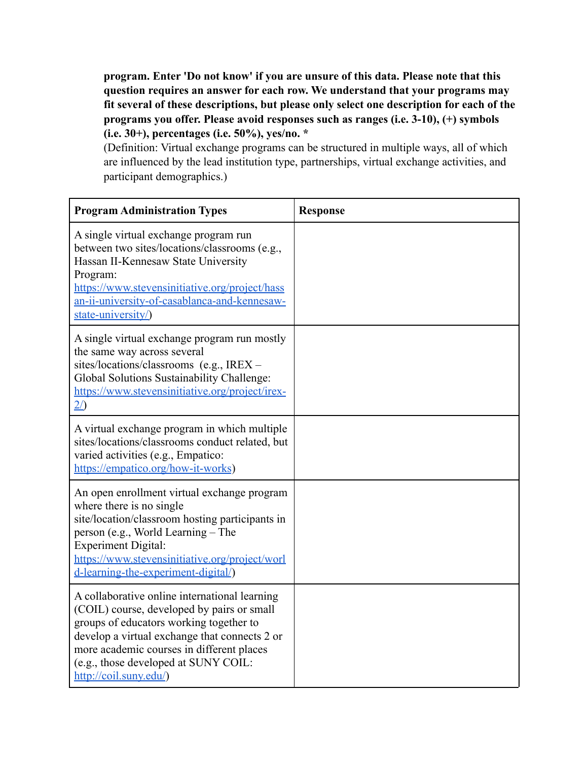**program. Enter 'Do not know' if you are unsure of this data. Please note that this question requires an answer for each row. We understand that your programs may fit several of these descriptions, but please only select one description for each of the programs you offer. Please avoid responses such as ranges (i.e. 3-10), (+) symbols (i.e. 30+), percentages (i.e. 50%), yes/no. \***

(Definition: Virtual exchange programs can be structured in multiple ways, all of which are influenced by the lead institution type, partnerships, virtual exchange activities, and participant demographics.)

| <b>Program Administration Types</b>                                                                                                                                                                                                                                                                    | <b>Response</b> |
|--------------------------------------------------------------------------------------------------------------------------------------------------------------------------------------------------------------------------------------------------------------------------------------------------------|-----------------|
| A single virtual exchange program run<br>between two sites/locations/classrooms (e.g.,<br>Hassan II-Kennesaw State University<br>Program:<br>https://www.stevensinitiative.org/project/hass<br>an-ii-university-of-casablanca-and-kennesaw-<br>state-university/)                                      |                 |
| A single virtual exchange program run mostly<br>the same way across several<br>sites/locations/classrooms (e.g., IREX -<br>Global Solutions Sustainability Challenge:<br>https://www.stevensinitiative.org/project/irex-<br>$\frac{2}{\sqrt{2}}$                                                       |                 |
| A virtual exchange program in which multiple<br>sites/locations/classrooms conduct related, but<br>varied activities (e.g., Empatico:<br>https://empatico.org/how-it-works)                                                                                                                            |                 |
| An open enrollment virtual exchange program<br>where there is no single<br>site/location/classroom hosting participants in<br>person (e.g., World Learning – The<br><b>Experiment Digital:</b><br>https://www.stevensinitiative.org/project/worl<br>d-learning-the-experiment-digital/)                |                 |
| A collaborative online international learning<br>(COIL) course, developed by pairs or small<br>groups of educators working together to<br>develop a virtual exchange that connects 2 or<br>more academic courses in different places<br>(e.g., those developed at SUNY COIL:<br>http://coil.suny.edu/) |                 |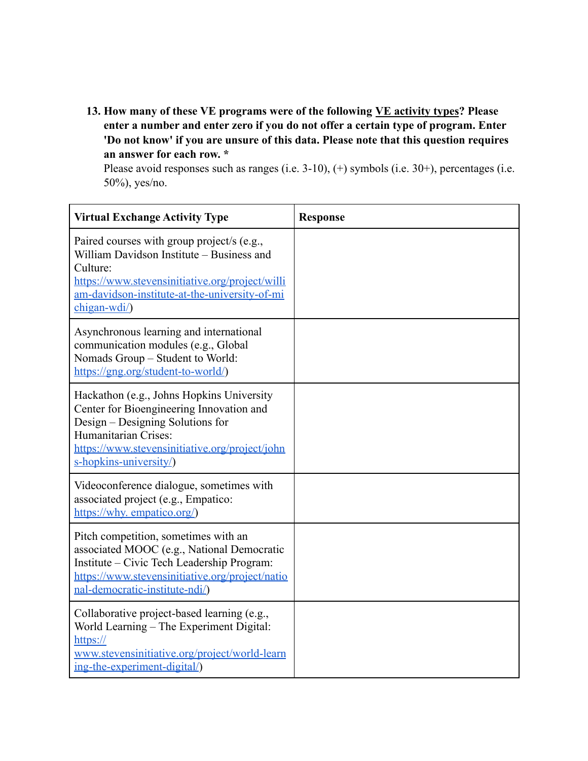**13. How many of these VE programs were of the following VE activity types? Please enter a number and enter zero if you do not offer a certain type of program. Enter 'Do not know' if you are unsure of this data. Please note that this question requires an answer for each row. \***

Please avoid responses such as ranges (i.e. 3-10), (+) symbols (i.e. 30+), percentages (i.e. 50%), yes/no.

| <b>Virtual Exchange Activity Type</b>                                                                                                                                                                                         | <b>Response</b> |
|-------------------------------------------------------------------------------------------------------------------------------------------------------------------------------------------------------------------------------|-----------------|
| Paired courses with group project/s (e.g.,<br>William Davidson Institute - Business and<br>Culture:<br>https://www.stevensinitiative.org/project/willi<br>am-davidson-institute-at-the-university-of-mi<br>$chigan-wdi/$      |                 |
| Asynchronous learning and international<br>communication modules (e.g., Global<br>Nomads Group - Student to World:<br>https://gng.org/student-to-world/                                                                       |                 |
| Hackathon (e.g., Johns Hopkins University<br>Center for Bioengineering Innovation and<br>Design – Designing Solutions for<br>Humanitarian Crises:<br>https://www.stevensinitiative.org/project/john<br>s-hopkins-university/) |                 |
| Videoconference dialogue, sometimes with<br>associated project (e.g., Empatico:<br>https://why.empatico.org/                                                                                                                  |                 |
| Pitch competition, sometimes with an<br>associated MOOC (e.g., National Democratic<br>Institute – Civic Tech Leadership Program:<br>https://www.stevensinitiative.org/project/natio<br>nal-democratic-institute-ndi/)         |                 |
| Collaborative project-based learning (e.g.,<br>World Learning - The Experiment Digital:<br>https://<br>www.stevensinitiative.org/project/world-learn<br>ing-the-experiment-digital/)                                          |                 |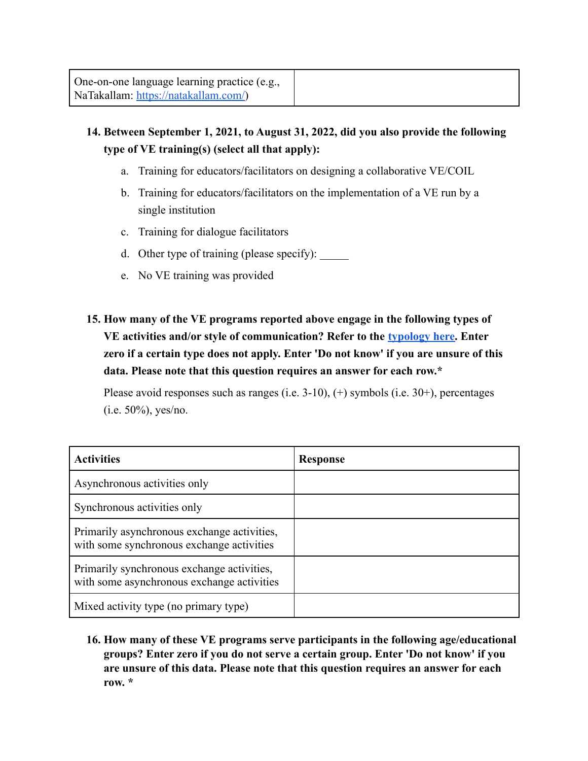# **14. Between September 1, 2021, to August 31, 2022, did you also provide the following type of VE training(s) (select all that apply):**

- a. Training for educators/facilitators on designing a collaborative VE/COIL
- b. Training for educators/facilitators on the implementation of a VE run by a single institution
- c. Training for dialogue facilitators
- d. Other type of training (please specify):
- e. No VE training was provided
- **15. How many of the VE programs reported above engage in the following types of VE activities and/or style of communication? Refer to the [typology here.](https://www.stevensinitiative.org/wp-content/uploads/2021/09/Stevens-Initiative-Virtual-Exchange-Typology_090121_singlepages.pdf) Enter zero if a certain type does not apply. Enter 'Do not know' if you are unsure of this data. Please note that this question requires an answer for each row.\***

Please avoid responses such as ranges (i.e. 3-10), (+) symbols (i.e. 30+), percentages (i.e. 50%), yes/no.

| <b>Activities</b>                                                                        | <b>Response</b> |
|------------------------------------------------------------------------------------------|-----------------|
| Asynchronous activities only                                                             |                 |
| Synchronous activities only                                                              |                 |
| Primarily asynchronous exchange activities,<br>with some synchronous exchange activities |                 |
| Primarily synchronous exchange activities,<br>with some asynchronous exchange activities |                 |
| Mixed activity type (no primary type)                                                    |                 |

**16. How many of these VE programs serve participants in the following age/educational groups? Enter zero if you do not serve a certain group. Enter 'Do not know' if you are unsure of this data. Please note that this question requires an answer for each row. \***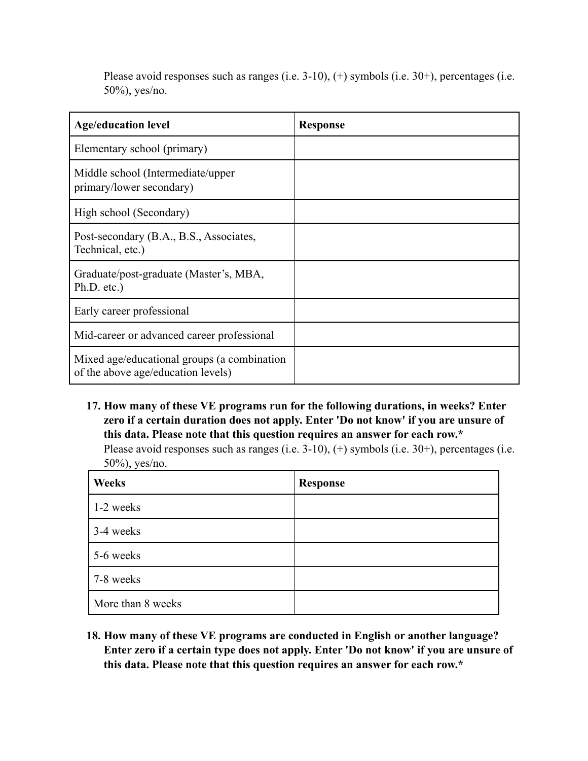Please avoid responses such as ranges (i.e. 3-10), (+) symbols (i.e. 30+), percentages (i.e. 50%), yes/no.

| <b>Age/education level</b>                                                        | <b>Response</b> |
|-----------------------------------------------------------------------------------|-----------------|
| Elementary school (primary)                                                       |                 |
| Middle school (Intermediate/upper<br>primary/lower secondary)                     |                 |
| High school (Secondary)                                                           |                 |
| Post-secondary (B.A., B.S., Associates,<br>Technical, etc.)                       |                 |
| Graduate/post-graduate (Master's, MBA,<br>Ph.D. etc.)                             |                 |
| Early career professional                                                         |                 |
| Mid-career or advanced career professional                                        |                 |
| Mixed age/educational groups (a combination<br>of the above age/education levels) |                 |

**17. How many of these VE programs run for the following durations, in weeks? Enter zero if a certain duration does not apply. Enter 'Do not know' if you are unsure of this data. Please note that this question requires an answer for each row.\***

Please avoid responses such as ranges (i.e. 3-10), (+) symbols (i.e. 30+), percentages (i.e. 50%), yes/no.

| <b>Weeks</b>      | <b>Response</b> |
|-------------------|-----------------|
| 1-2 weeks         |                 |
| 3-4 weeks         |                 |
| 5-6 weeks         |                 |
| 7-8 weeks         |                 |
| More than 8 weeks |                 |

**18. How many of these VE programs are conducted in English or another language? Enter zero if a certain type does not apply. Enter 'Do not know' if you are unsure of this data. Please note that this question requires an answer for each row.\***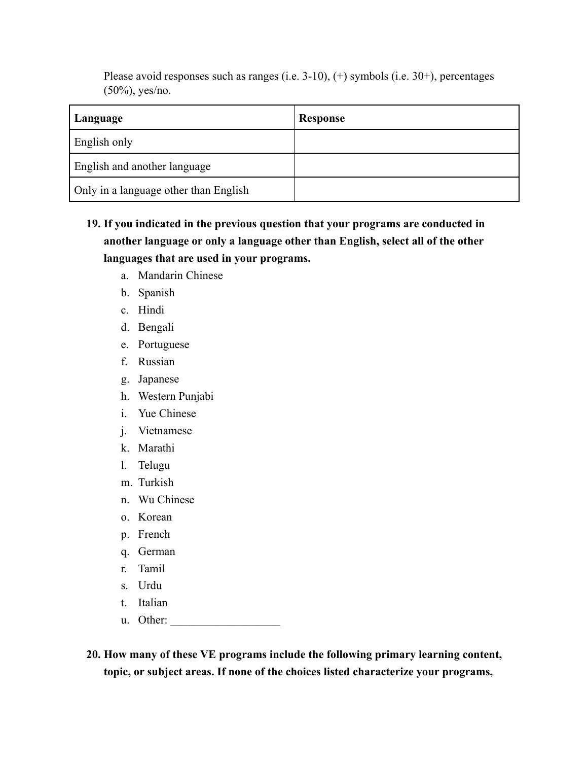Please avoid responses such as ranges (i.e. 3-10), (+) symbols (i.e. 30+), percentages (50%), yes/no.

| Language                              | Response |
|---------------------------------------|----------|
| English only                          |          |
| English and another language          |          |
| Only in a language other than English |          |

- **19. If you indicated in the previous question that your programs are conducted in another language or only a language other than English, select all of the other languages that are used in your programs.**
	- a. Mandarin Chinese
	- b. Spanish
	- c. Hindi
	- d. Bengali
	- e. Portuguese
	- f. Russian
	- g. Japanese
	- h. Western Punjabi
	- i. Yue Chinese
	- j. Vietnamese
	- k. Marathi
	- l. Telugu
	- m. Turkish
	- n. Wu Chinese
	- o. Korean
	- p. French
	- q. German
	- r. Tamil
	- s. Urdu
	- t. Italian
	- u. Other:

**20. How many of these VE programs include the following primary learning content, topic, or subject areas. If none of the choices listed characterize your programs,**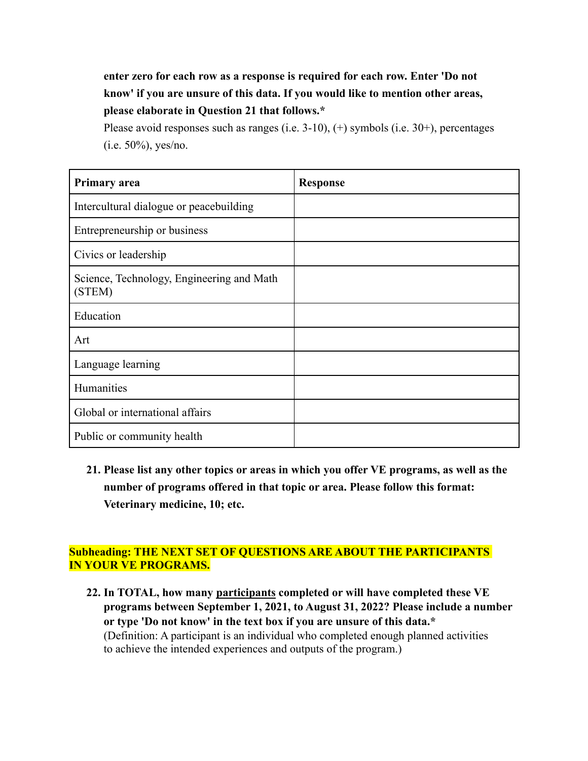# **enter zero for each row as a response is required for each row. Enter 'Do not know' if you are unsure of this data. If you would like to mention other areas, please elaborate in Question 21 that follows.\***

Please avoid responses such as ranges (i.e. 3-10), (+) symbols (i.e. 30+), percentages  $(i.e. 50\%)$ , yes/no.

| <b>Primary area</b>                                 | <b>Response</b> |
|-----------------------------------------------------|-----------------|
| Intercultural dialogue or peacebuilding             |                 |
| Entrepreneurship or business                        |                 |
| Civics or leadership                                |                 |
| Science, Technology, Engineering and Math<br>(STEM) |                 |
| Education                                           |                 |
| Art                                                 |                 |
| Language learning                                   |                 |
| Humanities                                          |                 |
| Global or international affairs                     |                 |
| Public or community health                          |                 |

**21. Please list any other topics or areas in which you offer VE programs, as well as the number of programs offered in that topic or area. Please follow this format: Veterinary medicine, 10; etc.**

#### **Subheading: THE NEXT SET OF QUESTIONS ARE ABOUT THE PARTICIPANTS IN YOUR VE PROGRAMS.**

**22. In TOTAL, how many participants completed or will have completed these VE programs between September 1, 2021, to August 31, 2022? Please include a number or type 'Do not know' in the text box if you are unsure of this data.\*** (Definition: A participant is an individual who completed enough planned activities to achieve the intended experiences and outputs of the program.)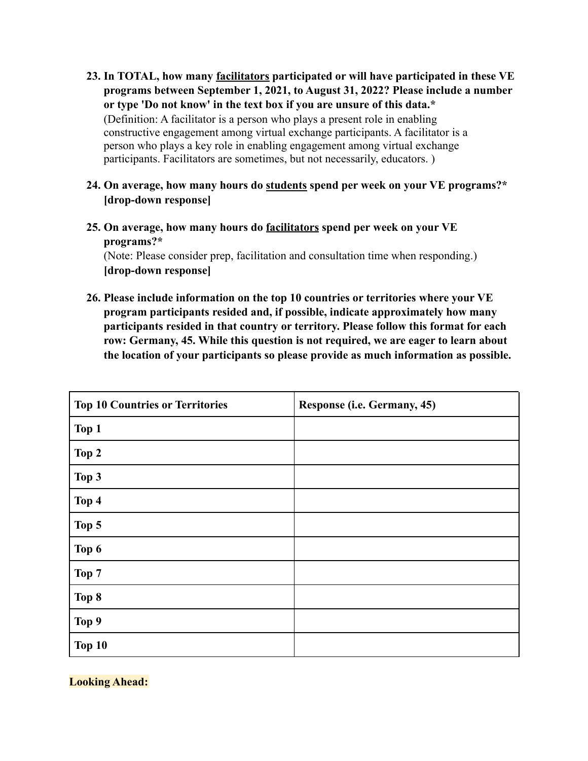- **23. In TOTAL, how many facilitators participated or will have participated in these VE programs between September 1, 2021, to August 31, 2022? Please include a number or type 'Do not know' in the text box if you are unsure of this data.\*** (Definition: A facilitator is a person who plays a present role in enabling constructive engagement among virtual exchange participants. A facilitator is a person who plays a key role in enabling engagement among virtual exchange participants. Facilitators are sometimes, but not necessarily, educators. )
- **24. On average, how many hours do students spend per week on your VE programs?\* [drop-down response]**
- **25. On average, how many hours do facilitators spend per week on your VE programs?\***

(Note: Please consider prep, facilitation and consultation time when responding.) **[drop-down response]**

**26. Please include information on the top 10 countries or territories where your VE program participants resided and, if possible, indicate approximately how many participants resided in that country or territory. Please follow this format for each row: Germany, 45. While this question is not required, we are eager to learn about the location of your participants so please provide as much information as possible.**

| <b>Top 10 Countries or Territories</b> | Response (i.e. Germany, 45) |
|----------------------------------------|-----------------------------|
| Top 1                                  |                             |
| Top 2                                  |                             |
| Top 3                                  |                             |
| Top 4                                  |                             |
| Top 5                                  |                             |
| Top 6                                  |                             |
| Top 7                                  |                             |
| Top 8                                  |                             |
| Top 9                                  |                             |
| Top 10                                 |                             |

**Looking Ahead:**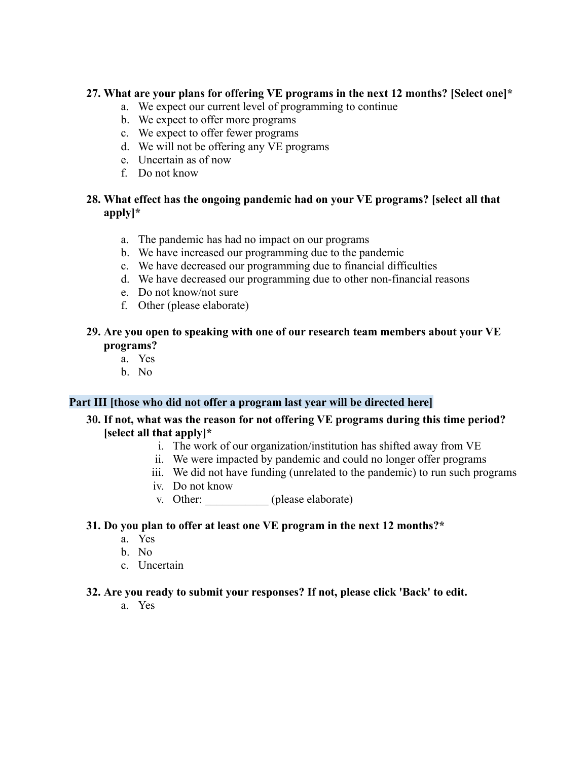#### **27. What are your plans for offering VE programs in the next 12 months? [Select one]\***

- a. We expect our current level of programming to continue
- b. We expect to offer more programs
- c. We expect to offer fewer programs
- d. We will not be offering any VE programs
- e. Uncertain as of now
- f. Do not know

#### **28. What effect has the ongoing pandemic had on your VE programs? [select all that apply]\***

- a. The pandemic has had no impact on our programs
- b. We have increased our programming due to the pandemic
- c. We have decreased our programming due to financial difficulties
- d. We have decreased our programming due to other non-financial reasons
- e. Do not know/not sure
- f. Other (please elaborate)

#### **29. Are you open to speaking with one of our research team members about your VE programs?**

- a. Yes
- b. No

### **Part III [those who did not offer a program last year will be directed here]**

#### **30. If not, what was the reason for not offering VE programs during this time period? [select all that apply]\***

- i. The work of our organization/institution has shifted away from VE
- ii. We were impacted by pandemic and could no longer offer programs
- iii. We did not have funding (unrelated to the pandemic) to run such programs
- iv. Do not know
- v. Other: \_\_\_\_\_\_\_\_\_\_\_ (please elaborate)

#### **31. Do you plan to offer at least one VE program in the next 12 months?\***

- a. Yes
- b. No
- c. Uncertain

#### **32. Are you ready to submit your responses? If not, please click 'Back' to edit.**

a. Yes